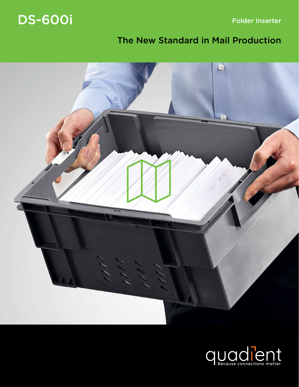Folder Inserter

## DS-600i

## The New Standard in Mail Production



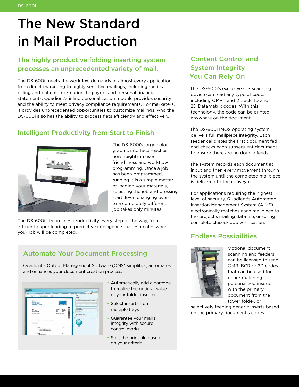# The New Standard in Mail Production

### The highly productive folding inserting system processes an unprecedented variety of mail.

The DS-600i meets the workflow demands of almost every application – from direct marketing to highly sensitive mailings, including medical billing and patient information, to payroll and personal financial statements. Quadient's inline personalization module provides security and the ability to meet privacy compliance requirements. For marketers, it provides unprecedented opportunities to customize mailings. And the DS-600i also has the ability to process flats efficiently and effectively.

### Intelligent Productivity from Start to Finish



The DS-600i's large color graphic interface reaches new heights in user friendliness and workflow programming. Once a job has been programmed, running it is a simple matter of loading your materials, selecting the job and pressing start. Even changing over to a completely different job takes only minutes.

The DS-600i streamlines productivity every step of the way, from efficient paper loading to predictive intelligence that estimates when your job will be completed.

#### Automate Your Document Processing

Quadient's Output Management Software (OMS) simplifies, automates and enhances your document creation process.

|                                                                                                                                                                                              |                                                                                                                       | Configuration   (d) / O =   (t) =                                                                                                                                                                                                                                                                                                                                                             |
|----------------------------------------------------------------------------------------------------------------------------------------------------------------------------------------------|-----------------------------------------------------------------------------------------------------------------------|-----------------------------------------------------------------------------------------------------------------------------------------------------------------------------------------------------------------------------------------------------------------------------------------------------------------------------------------------------------------------------------------------|
| 1. J. Martin Technology, 1. 3. Frida School,<br>A book<br>Englanged<br><b>Page</b><br>Zaon                                                                                                   | <b>LA believes</b><br>3. K. Print Building                                                                            | A manner Corect<br><b>C.C. Carrier Market</b><br><b>Links</b>                                                                                                                                                                                                                                                                                                                                 |
| $25 - 101$ and $-10$<br>1.7978.7<br>179 8<br>$\sim$                                                                                                                                          |                                                                                                                       | Print<br>Primar                                                                                                                                                                                                                                                                                                                                                                               |
| <b>Bellowy but</b><br><b>Marketing</b><br>159 Printing Avenue<br>Sensyvine 000M<br><b>United States of Assessment</b><br>total.<br>Lis D. Fais<br><b>JAA7 Dull Avenue</b><br>WinnessLYT056NL | <b><i>Deliverights</i></b><br>Dathee<br><b>MACICE</b><br>18.51.0010<br>Date:<br>Post<br>1.06.2<br>Customer No. 498505 | <b>Sales File Antique</b><br>1970 (SCIT) of Cabi Laurus Midled PA 76A Energy<br><b>Reacting state source</b><br>Advertising Select<br>- Albanya Pape Source Ophios<br><b>Print Range</b><br>Detro bu prehierze.<br>In his premium for Museumanity. 12 presents<br>11 Only and band.<br><b>Print Additional Shaers</b><br>W. Banker Harry All St. Wall<br>A barner short for each print paice. |
| Lörten Urkum dolor all analt, consociation adquising elk                                                                                                                                     |                                                                                                                       |                                                                                                                                                                                                                                                                                                                                                                                               |
| <b>Date Mrs. Date</b>                                                                                                                                                                        |                                                                                                                       |                                                                                                                                                                                                                                                                                                                                                                                               |
| Pee Preduct                                                                                                                                                                                  | Plant                                                                                                                 | <b>Visit</b>                                                                                                                                                                                                                                                                                                                                                                                  |
| ٠<br><b>Postat</b> 1<br>- Duis consentation du el moiete<br>- Assess Meridian Alex at ad-                                                                                                    | 49.75                                                                                                                 |                                                                                                                                                                                                                                                                                                                                                                                               |

- Automatically add a barcode to realize the optimal value of your folder inserter
- Select inserts from multiple trays
- Guarantee your mail's integrity with secure control marks
- Split the print file based on your criteria

#### Content Control and System Integrity You Can Rely On

The DS-600i's exclusive CIS scanning device can read any type of code, including OMR 1 and 2 track, 1D and 2D Datamatrix codes. With this technology, the code can be printed anywhere on the document.

The DS-600i IMOS operating system delivers full mailpiece integrity. Each feeder calibrates the first document fed and checks each subsequent document to ensure there are no double feeds.

The system records each document at input and then every movement through the system until the completed mailpiece is delivered to the conveyor.

For applications requiring the highest level of security, Quadient's Automated Insertion Management System (AIMS) electronically matches each mailpiece to the project's mailing data file, ensuring complete closed-loop verification.

#### Endless Possibilities



Optional document scanning and feeders can be licensed to read OMR, BCR or 2D codes that can be used for either matching personalized inserts with the primary document from the tower folder, or

selectively feeding generic inserts based on the primary document's codes.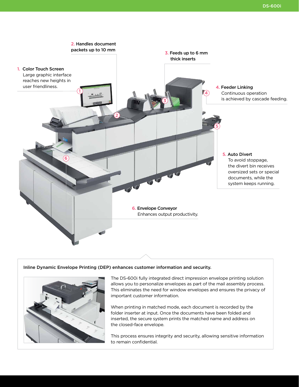

#### Inline Dynamic Envelope Printing (DEP) enhances customer information and security.



The DS-600i fully integrated direct impression envelope printing solution allows you to personalize envelopes as part of the mail assembly process. This eliminates the need for window envelopes and ensures the privacy of important customer information.

When printing in matched mode, each document is recorded by the folder inserter at input. Once the documents have been folded and inserted, the secure system prints the matched name and address on the closed-face envelope.

This process ensures integrity and security, allowing sensitive information to remain confidential.